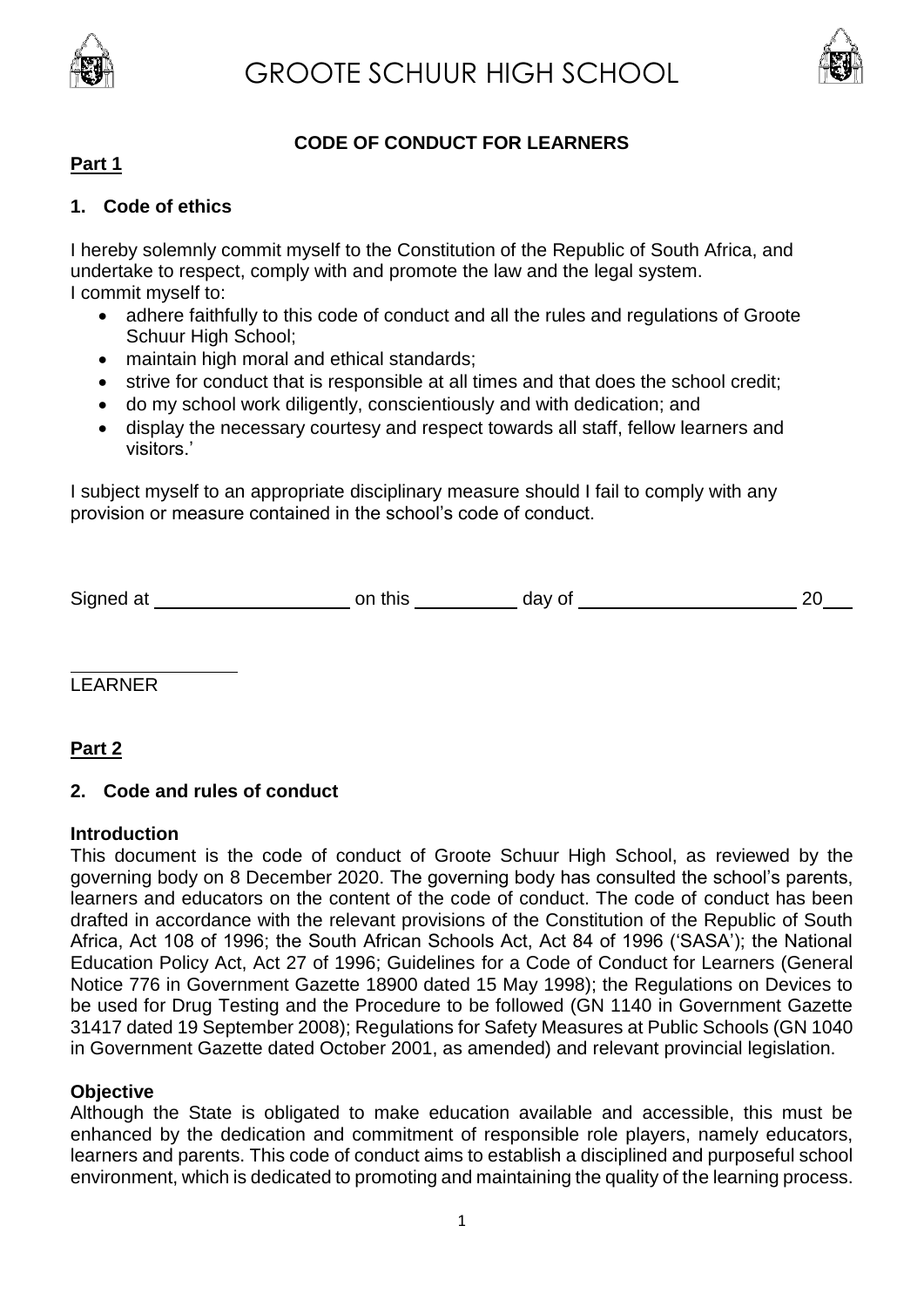



# **CODE OF CONDUCT FOR LEARNERS**

# **Part 1**

## **1. Code of ethics**

I hereby solemnly commit myself to the Constitution of the Republic of South Africa, and undertake to respect, comply with and promote the law and the legal system. I commit myself to:

- adhere faithfully to this code of conduct and all the rules and regulations of Groote Schuur High School;
- maintain high moral and ethical standards;
- strive for conduct that is responsible at all times and that does the school credit;
- do my school work diligently, conscientiously and with dedication; and
- display the necessary courtesy and respect towards all staff, fellow learners and visitors.'

I subject myself to an appropriate disciplinary measure should I fail to comply with any provision or measure contained in the school's code of conduct.

| Signed at | this<br>on | day of |  |
|-----------|------------|--------|--|
|           |            |        |  |

LEARNER

# **Part 2**

# **2. Code and rules of conduct**

#### **Introduction**

This document is the code of conduct of Groote Schuur High School, as reviewed by the governing body on 8 December 2020. The governing body has consulted the school's parents, learners and educators on the content of the code of conduct. The code of conduct has been drafted in accordance with the relevant provisions of the Constitution of the Republic of South Africa, Act 108 of 1996; the South African Schools Act, Act 84 of 1996 ('SASA'); the National Education Policy Act, Act 27 of 1996; Guidelines for a Code of Conduct for Learners (General Notice 776 in Government Gazette 18900 dated 15 May 1998); the Regulations on Devices to be used for Drug Testing and the Procedure to be followed (GN 1140 in Government Gazette 31417 dated 19 September 2008); Regulations for Safety Measures at Public Schools (GN 1040 in Government Gazette dated October 2001, as amended) and relevant provincial legislation.

#### **Objective**

Although the State is obligated to make education available and accessible, this must be enhanced by the dedication and commitment of responsible role players, namely educators, learners and parents. This code of conduct aims to establish a disciplined and purposeful school environment, which is dedicated to promoting and maintaining the quality of the learning process.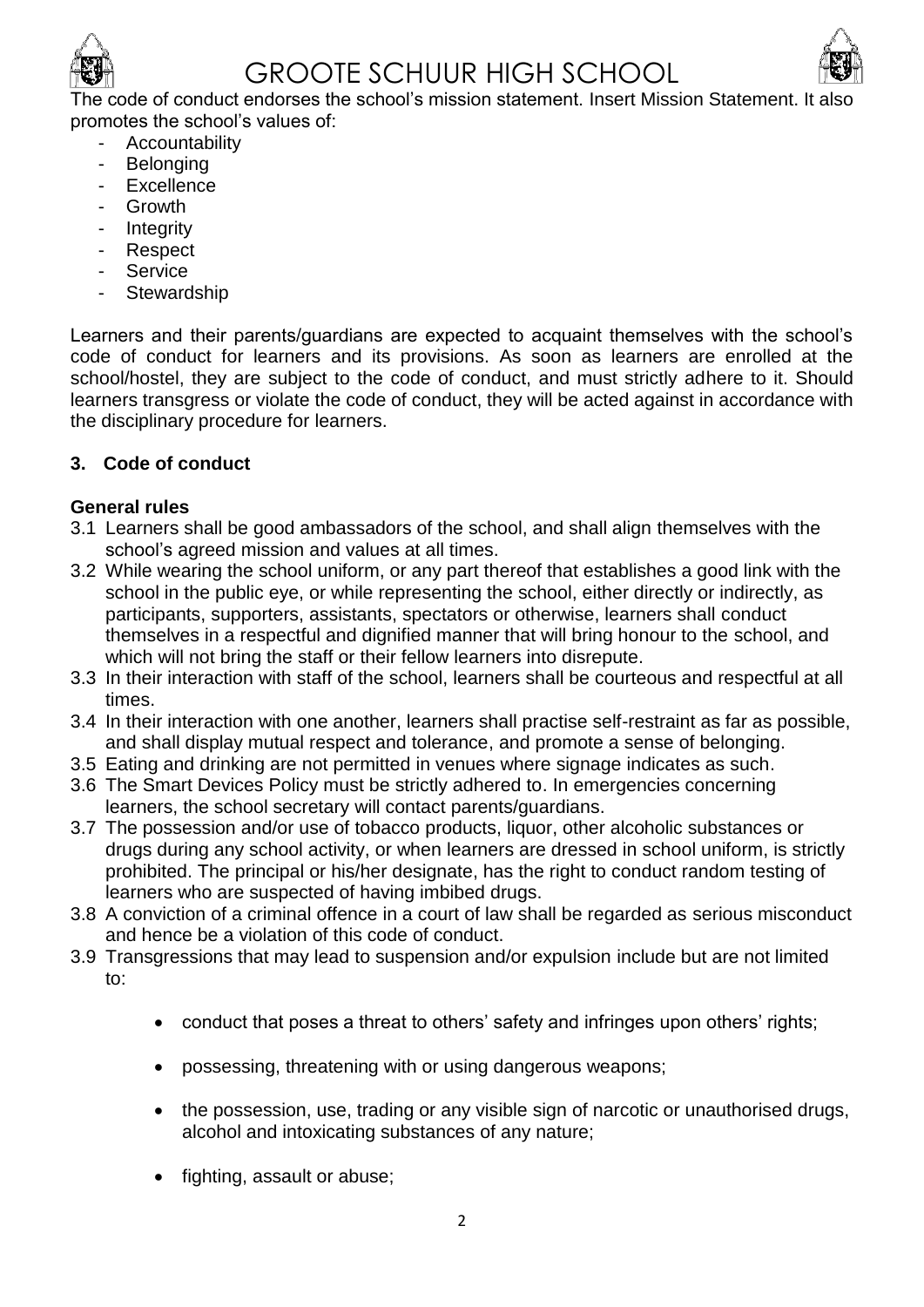

# GROOTE SCHUUR HIGH SCHOOL



The code of conduct endorses the school's mission statement. Insert Mission Statement. It al promotes the school's values of:

- **Accountability**
- Belonging
- Excellence
- **Growth**
- Integrity
- **Respect**
- **Service**
- **Stewardship**

Learners and their parents/guardians are expected to acquaint themselves with the school's code of conduct for learners and its provisions. As soon as learners are enrolled at the school/hostel, they are subject to the code of conduct, and must strictly adhere to it. Should learners transgress or violate the code of conduct, they will be acted against in accordance with the disciplinary procedure for learners.

# **3. Code of conduct**

# **General rules**

- 3.1 Learners shall be good ambassadors of the school, and shall align themselves with the school's agreed mission and values at all times.
- 3.2 While wearing the school uniform, or any part thereof that establishes a good link with the school in the public eye, or while representing the school, either directly or indirectly, as participants, supporters, assistants, spectators or otherwise, learners shall conduct themselves in a respectful and dignified manner that will bring honour to the school, and which will not bring the staff or their fellow learners into disrepute.
- 3.3 In their interaction with staff of the school, learners shall be courteous and respectful at all times.
- 3.4 In their interaction with one another, learners shall practise self-restraint as far as possible, and shall display mutual respect and tolerance, and promote a sense of belonging.
- 3.5 Eating and drinking are not permitted in venues where signage indicates as such.
- 3.6 The Smart Devices Policy must be strictly adhered to. In emergencies concerning learners, the school secretary will contact parents/guardians.
- 3.7 The possession and/or use of tobacco products, liquor, other alcoholic substances or drugs during any school activity, or when learners are dressed in school uniform, is strictly prohibited. The principal or his/her designate, has the right to conduct random testing of learners who are suspected of having imbibed drugs.
- 3.8 A conviction of a criminal offence in a court of law shall be regarded as serious misconduct and hence be a violation of this code of conduct.
- 3.9 Transgressions that may lead to suspension and/or expulsion include but are not limited to:
	- conduct that poses a threat to others' safety and infringes upon others' rights;
	- possessing, threatening with or using dangerous weapons;
	- the possession, use, trading or any visible sign of narcotic or unauthorised drugs, alcohol and intoxicating substances of any nature;
	- fighting, assault or abuse;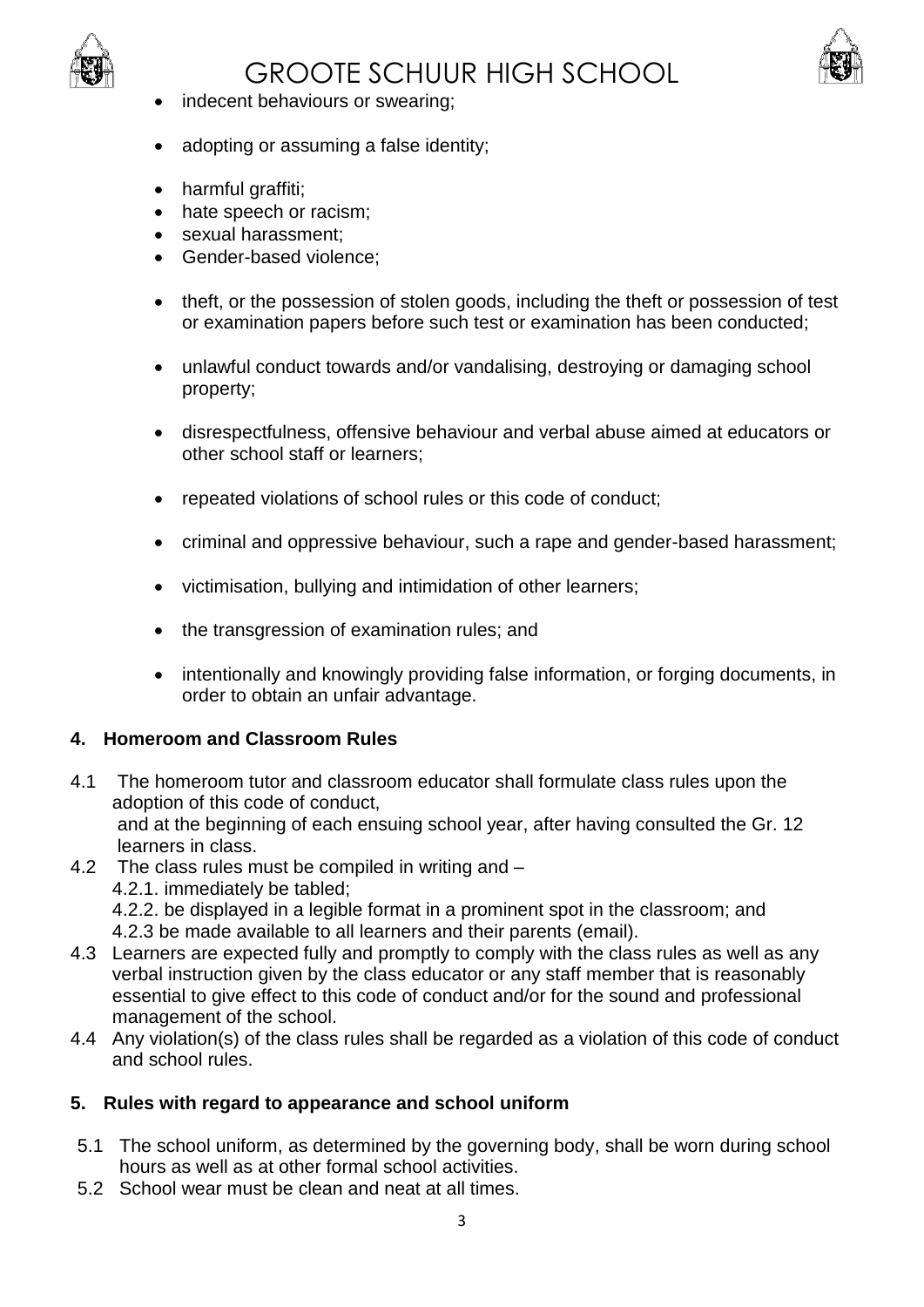

# GROOTE SCHUUR HIGH SCHOOL



- indecent behaviours or swearing;
- adopting or assuming a false identity;
- harmful graffiti;
- hate speech or racism;
- sexual harassment:
- Gender-based violence;
- theft, or the possession of stolen goods, including the theft or possession of test or examination papers before such test or examination has been conducted;
- unlawful conduct towards and/or vandalising, destroying or damaging school property;
- disrespectfulness, offensive behaviour and verbal abuse aimed at educators or other school staff or learners;
- repeated violations of school rules or this code of conduct;
- criminal and oppressive behaviour, such a rape and gender-based harassment;
- victimisation, bullying and intimidation of other learners;
- the transgression of examination rules; and
- intentionally and knowingly providing false information, or forging documents, in order to obtain an unfair advantage.

#### **4. Homeroom and Classroom Rules**

- 4.1 The homeroom tutor and classroom educator shall formulate class rules upon the adoption of this code of conduct, and at the beginning of each ensuing school year, after having consulted the Gr. 12 learners in class.
- 4.2 The class rules must be compiled in writing and 4.2.1. immediately be tabled; 4.2.2. be displayed in a legible format in a prominent spot in the classroom; and 4.2.3 be made available to all learners and their parents (email).
- 4.3 Learners are expected fully and promptly to comply with the class rules as well as any verbal instruction given by the class educator or any staff member that is reasonably essential to give effect to this code of conduct and/or for the sound and professional management of the school.
- 4.4 Any violation(s) of the class rules shall be regarded as a violation of this code of conduct and school rules.

# **5. Rules with regard to appearance and school uniform**

- 5.1 The school uniform, as determined by the governing body, shall be worn during school hours as well as at other formal school activities.
- 5.2 School wear must be clean and neat at all times.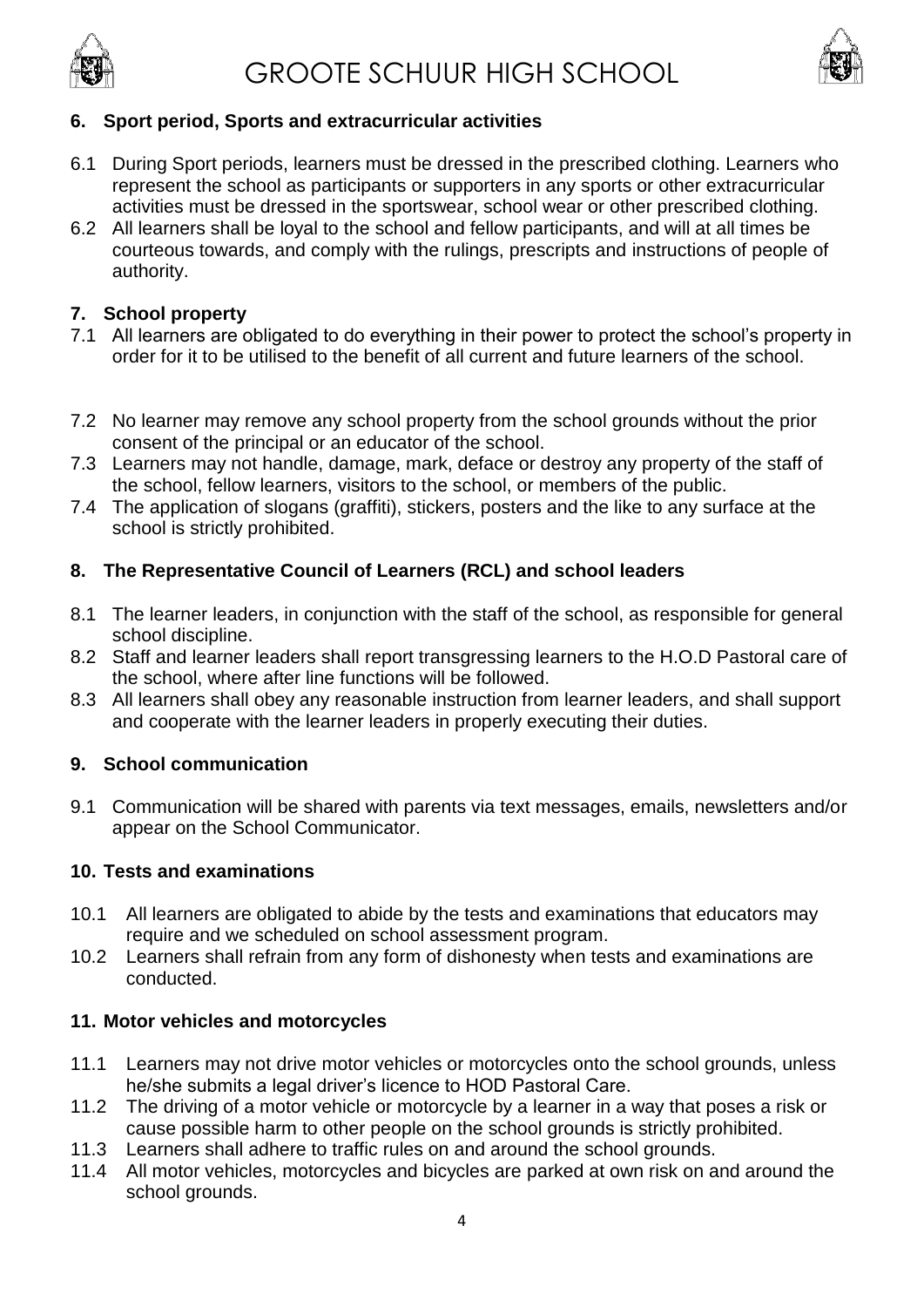



#### **6. Sport period, Sports and extracurricular activities**

- 6.1 During Sport periods, learners must be dressed in the prescribed clothing. Learners who represent the school as participants or supporters in any sports or other extracurricular activities must be dressed in the sportswear, school wear or other prescribed clothing.
- 6.2 All learners shall be loyal to the school and fellow participants, and will at all times be courteous towards, and comply with the rulings, prescripts and instructions of people of authority.

## **7. School property**

- 7.1 All learners are obligated to do everything in their power to protect the school's property in order for it to be utilised to the benefit of all current and future learners of the school.
- 7.2 No learner may remove any school property from the school grounds without the prior consent of the principal or an educator of the school.
- 7.3 Learners may not handle, damage, mark, deface or destroy any property of the staff of the school, fellow learners, visitors to the school, or members of the public.
- 7.4 The application of slogans (graffiti), stickers, posters and the like to any surface at the school is strictly prohibited.

#### **8. The Representative Council of Learners (RCL) and school leaders**

- 8.1 The learner leaders, in conjunction with the staff of the school, as responsible for general school discipline.
- 8.2 Staff and learner leaders shall report transgressing learners to the H.O.D Pastoral care of the school, where after line functions will be followed.
- 8.3 All learners shall obey any reasonable instruction from learner leaders, and shall support and cooperate with the learner leaders in properly executing their duties.

#### **9. School communication**

9.1 Communication will be shared with parents via text messages, emails, newsletters and/or appear on the School Communicator.

#### **10. Tests and examinations**

- 10.1 All learners are obligated to abide by the tests and examinations that educators may require and we scheduled on school assessment program.
- 10.2 Learners shall refrain from any form of dishonesty when tests and examinations are conducted.

#### **11. Motor vehicles and motorcycles**

- 11.1 Learners may not drive motor vehicles or motorcycles onto the school grounds, unless he/she submits a legal driver's licence to HOD Pastoral Care.
- 11.2 The driving of a motor vehicle or motorcycle by a learner in a way that poses a risk or cause possible harm to other people on the school grounds is strictly prohibited.
- 11.3 Learners shall adhere to traffic rules on and around the school grounds.
- 11.4 All motor vehicles, motorcycles and bicycles are parked at own risk on and around the school grounds.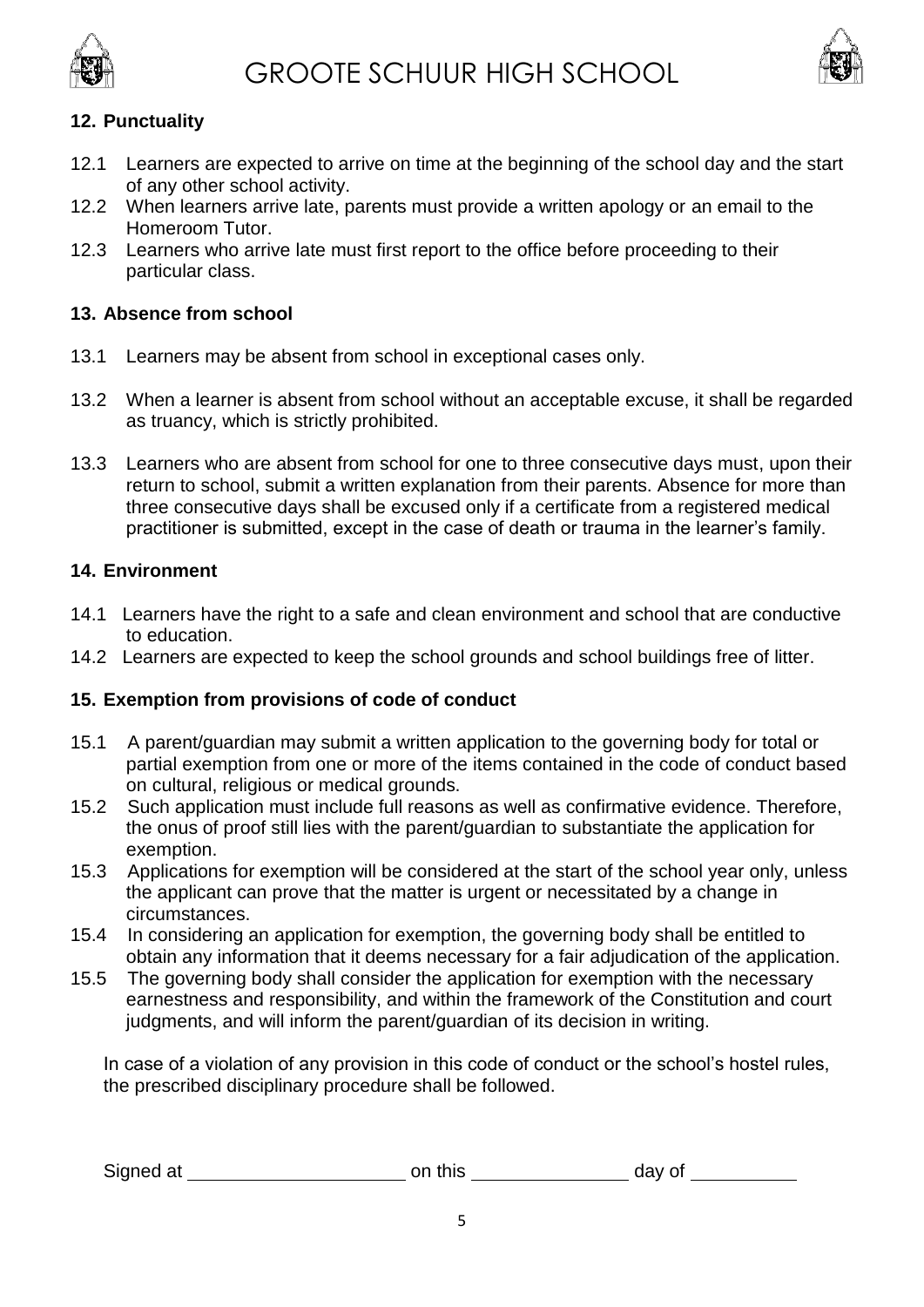



# **12. Punctuality**

- 12.1 Learners are expected to arrive on time at the beginning of the school day and the start of any other school activity.
- 12.2 When learners arrive late, parents must provide a written apology or an email to the Homeroom Tutor.
- 12.3 Learners who arrive late must first report to the office before proceeding to their particular class.

# **13. Absence from school**

- 13.1 Learners may be absent from school in exceptional cases only.
- 13.2 When a learner is absent from school without an acceptable excuse, it shall be regarded as truancy, which is strictly prohibited.
- 13.3 Learners who are absent from school for one to three consecutive days must, upon their return to school, submit a written explanation from their parents. Absence for more than three consecutive days shall be excused only if a certificate from a registered medical practitioner is submitted, except in the case of death or trauma in the learner's family.

#### **14. Environment**

- 14.1 Learners have the right to a safe and clean environment and school that are conductive to education.
- 14.2 Learners are expected to keep the school grounds and school buildings free of litter.

# **15. Exemption from provisions of code of conduct**

- 15.1 A parent/guardian may submit a written application to the governing body for total or partial exemption from one or more of the items contained in the code of conduct based on cultural, religious or medical grounds.
- 15.2 Such application must include full reasons as well as confirmative evidence. Therefore, the onus of proof still lies with the parent/guardian to substantiate the application for exemption.
- 15.3 Applications for exemption will be considered at the start of the school year only, unless the applicant can prove that the matter is urgent or necessitated by a change in circumstances.
- 15.4 In considering an application for exemption, the governing body shall be entitled to obtain any information that it deems necessary for a fair adjudication of the application.
- 15.5 The governing body shall consider the application for exemption with the necessary earnestness and responsibility, and within the framework of the Constitution and court judgments, and will inform the parent/guardian of its decision in writing.

In case of a violation of any provision in this code of conduct or the school's hostel rules, the prescribed disciplinary procedure shall be followed.

| Signed at<br>on this<br>day of |
|--------------------------------|
|--------------------------------|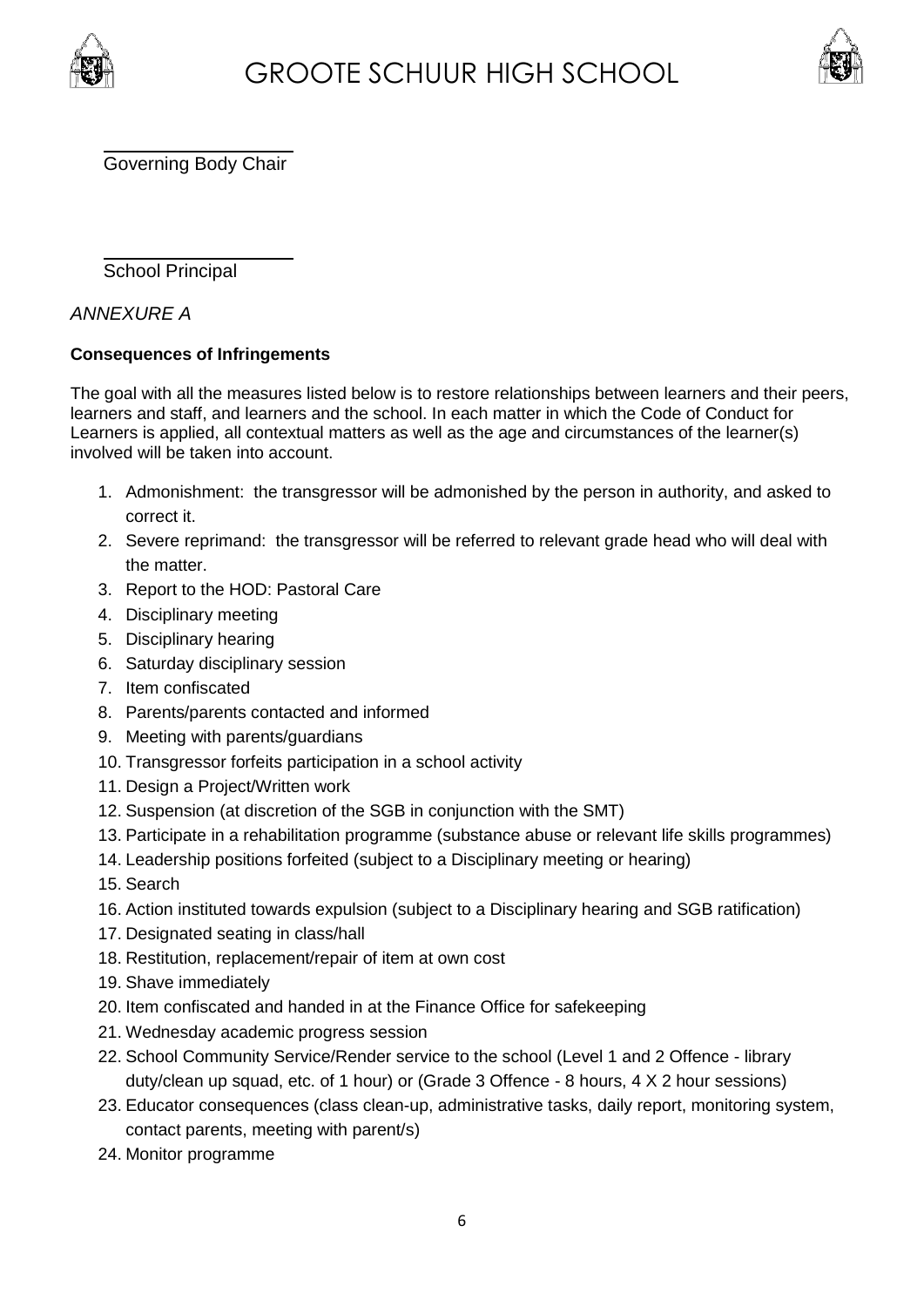



Governing Body Chair

School Principal

*ANNEXURE A*

#### **Consequences of Infringements**

The goal with all the measures listed below is to restore relationships between learners and their peers, learners and staff, and learners and the school. In each matter in which the Code of Conduct for Learners is applied, all contextual matters as well as the age and circumstances of the learner(s) involved will be taken into account.

- 1. Admonishment: the transgressor will be admonished by the person in authority, and asked to correct it.
- 2. Severe reprimand: the transgressor will be referred to relevant grade head who will deal with the matter.
- 3. Report to the HOD: Pastoral Care
- 4. Disciplinary meeting
- 5. Disciplinary hearing
- 6. Saturday disciplinary session
- 7. Item confiscated
- 8. Parents/parents contacted and informed
- 9. Meeting with parents/guardians
- 10. Transgressor forfeits participation in a school activity
- 11. Design a Project/Written work
- 12. Suspension (at discretion of the SGB in conjunction with the SMT)
- 13. Participate in a rehabilitation programme (substance abuse or relevant life skills programmes)
- 14. Leadership positions forfeited (subject to a Disciplinary meeting or hearing)
- 15. Search
- 16. Action instituted towards expulsion (subject to a Disciplinary hearing and SGB ratification)
- 17. Designated seating in class/hall
- 18. Restitution, replacement/repair of item at own cost
- 19. Shave immediately
- 20. Item confiscated and handed in at the Finance Office for safekeeping
- 21. Wednesday academic progress session
- 22. School Community Service/Render service to the school (Level 1 and 2 Offence library duty/clean up squad, etc. of 1 hour) or (Grade 3 Offence - 8 hours, 4 X 2 hour sessions)
- 23. Educator consequences (class clean-up, administrative tasks, daily report, monitoring system, contact parents, meeting with parent/s)
- 24. Monitor programme